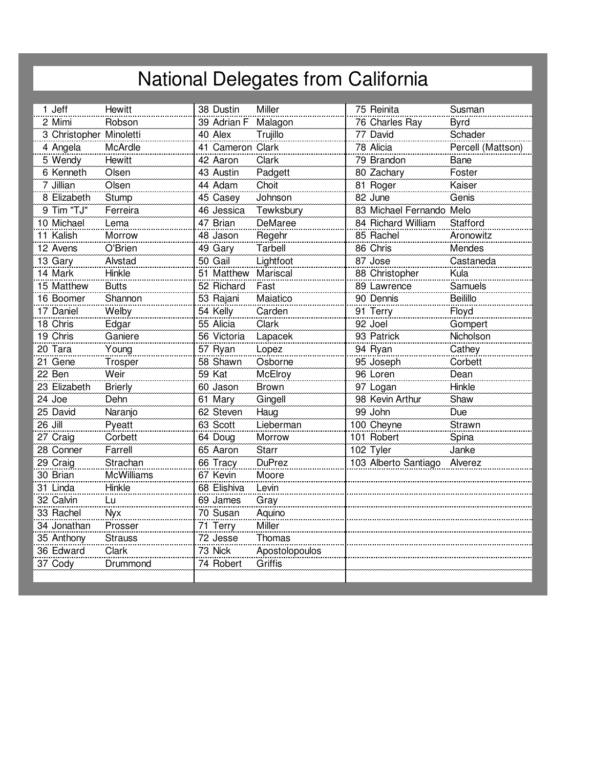## National Delegates from California

| 1 Jeff                  | <b>Hewitt</b>     | 38 Dustin           | Miller         | 75 Reinita                   | Susman            |
|-------------------------|-------------------|---------------------|----------------|------------------------------|-------------------|
| 2 Mimi                  | Robson            | 39 Adrian F Malagon |                | 76 Charles Ray               | <b>Byrd</b>       |
| 3 Christopher Minoletti |                   | 40 Alex             | Trujillo       | 77 David                     | Schader           |
| 4 Angela                | McArdle           | 41 Cameron Clark    |                | 78 Alicia                    | Percell (Mattson) |
| 5 Wendy                 | Hewitt            | 42 Aaron            | Clark          | 79 Brandon                   | Bane              |
| 6 Kenneth               | Olsen             | 43 Austin           | Padgett        | 80 Zachary                   | Foster            |
| 7 Jillian               | Olsen             | 44 Adam             | Choit          | 81 Roger                     | Kaiser            |
| 8 Elizabeth             | Stump             | 45 Casey            | Johnson        | 82 June                      | Genis             |
| 9 Tim "TJ"              | Ferreira          | 46 Jessica          | Tewksbury      | 83 Michael Fernando Melo     |                   |
| 10 Michael              | Lema              | 47 Brian            | <b>DeMaree</b> | 84 Richard William           | Stafford          |
| 11 Kalish               | Morrow            | 48 Jason            | Regehr         | 85 Rachel                    | Aronowitz         |
| 12 Avens                | O'Brien           | 49 Gary             | Tarbell        | 86 Chris                     | Mendes            |
| 13 Gary                 | Alvstad           | 50 Gail             | Lightfoot      | 87 Jose                      | Castaneda         |
| 14 Mark                 | Hinkle            | 51 Matthew Mariscal |                | 88 Christopher               | Kula              |
| 15 Matthew              | <b>Butts</b>      | 52 Richard          | Fast           | 89 Lawrence                  | Samuels           |
| 16 Boomer               | Shannon           | 53 Rajani           | Maiatico       | 90 Dennis                    | <b>Beilillo</b>   |
| 17 Daniel               | Welby             | 54 Kelly            | Carden         | 91 Terry                     | Floyd             |
| 18 Chris                | Edgar             | 55 Alicia           | Clark          | 92 Joel                      | Gompert           |
| 19 Chris                | Ganiere           | 56 Victoria         | Lapacek        | 93 Patrick                   | Nicholson         |
| 20 Tara                 | Young             | 57 Ryan             | Lopez          | 94 Ryan                      | Cathey            |
| 21 Gene                 | Trosper           | 58 Shawn            | Osborne        | 95 Joseph                    | Corbett           |
| 22 Ben                  | Weir              | 59 Kat              | McElroy        | 96 Loren                     | Dean              |
| 23 Elizabeth            | <b>Brierly</b>    | 60 Jason            | <b>Brown</b>   | 97 Logan                     | Hinkle            |
| 24 Joe                  | Dehn              | 61 Mary             | Gingell        | 98 Kevin Arthur              | Shaw              |
| 25 David                | Naranjo           | 62 Steven           | Haug           | 99 John                      | Due               |
| 26 Jill                 | Pyeatt            | 63 Scott            | Lieberman      | 100 Cheyne                   | Strawn            |
| 27 Craig                | Corbett           | 64 Doug             | Morrow         | 101 Robert                   | Spina             |
| 28 Conner               | Farrell           | 65 Aaron            | <b>Starr</b>   | 102 Tyler                    | Janke             |
| 29 Craig                | Strachan          | 66 Tracy            | <b>DuPrez</b>  | 103 Alberto Santiago Alverez |                   |
| 30 Brian                | <b>McWilliams</b> | 67 Kevin            | Moore          |                              |                   |
| 31 Linda                | Hinkle            | 68 Elishiva         | Levin          |                              |                   |
| 32 Calvin               | Lu.               | 69 James            | Gray           |                              |                   |
| 33 Rachel               | <b>Nyx</b>        | 70 Susan            | Aquino         |                              |                   |
| 34 Jonathan             | Prosser           | 71 Terry            | Miller         |                              |                   |
| 35 Anthony              | <b>Strauss</b>    | 72 Jesse            | Thomas         |                              |                   |
| 36 Edward               | Clark             | 73 Nick             | Apostolopoulos |                              |                   |
| 37 Cody                 | Drummond          | 74 Robert           | Griffis        |                              |                   |
|                         |                   |                     |                |                              |                   |